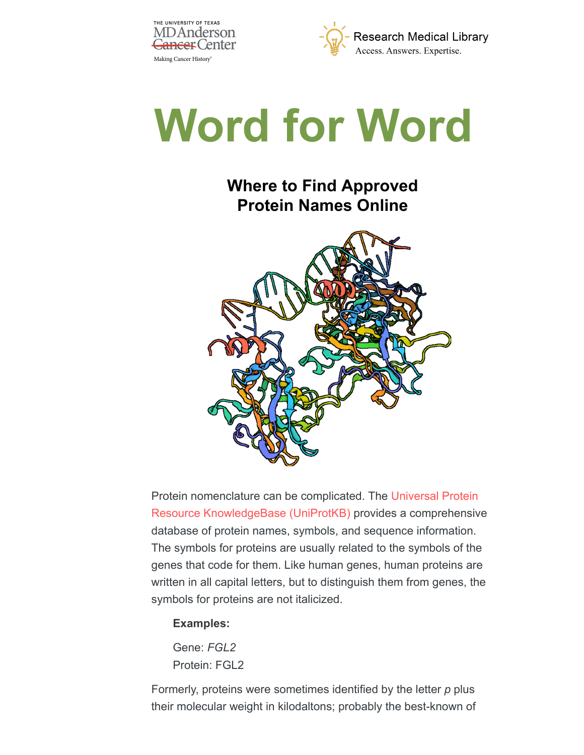





# **Where to Find Approved Protein Names Online**



[Protein nomenclature can be complicated. The Universal Protein](https://www.uniprot.org/) Resource KnowledgeBase (UniProtKB) provides a comprehensive database of protein names, symbols, and sequence information. The symbols for proteins are usually related to the symbols of the genes that code for them. Like human genes, human proteins are written in all capital letters, but to distinguish them from genes, the symbols for proteins are not italicized.

### **Examples:**

Gene: *FGL2* Protein: FGL2

Formerly, proteins were sometimes identified by the letter *p* plus their molecular weight in kilodaltons; probably the best-known of